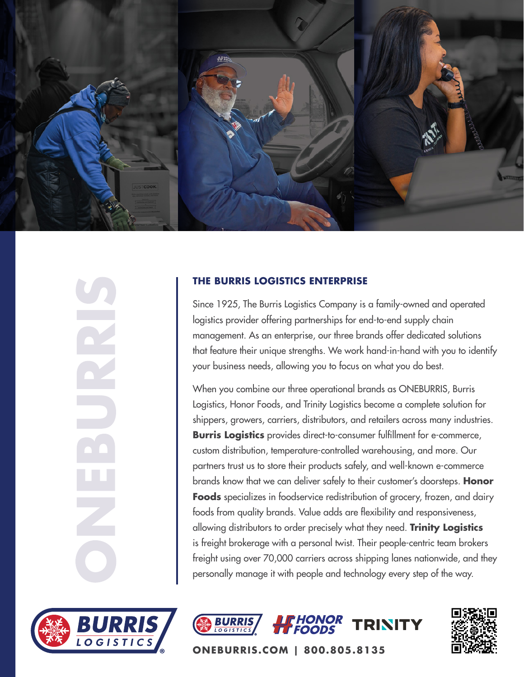

### **THE BURRIS LOGISTICS ENTERPRISE**

Since 1925, The Burris Logistics Company is a family-owned and operated logistics provider offering partnerships for end-to-end supply chain management. As an enterprise, our three brands offer dedicated solutions that feature their unique strengths. We work hand-in-hand with you to identify your business needs, allowing you to focus on what you do best.

When you combine our three operational brands as ONEBURRIS, Burris Logistics, Honor Foods, and Trinity Logistics become a complete solution for shippers, growers, carriers, distributors, and retailers across many industries. **Burris Logistics** provides direct-to-consumer fulfillment for e-commerce, custom distribution, temperature-controlled warehousing, and more. Our partners trust us to store their products safely, and well-known e-commerce brands know that we can deliver safely to their customer's doorsteps. **Honor Foods** specializes in foodservice redistribution of grocery, frozen, and dairy foods from quality brands. Value adds are flexibility and responsiveness, allowing distributors to order precisely what they need. **Trinity Logistics** is freight brokerage with a personal twist. Their people-centric team brokers freight using over 70,000 carriers across shipping lanes nationwide, and they personally manage it with people and technology every step of the way.









**ONEBURRIS.COM | 800.805.8135**